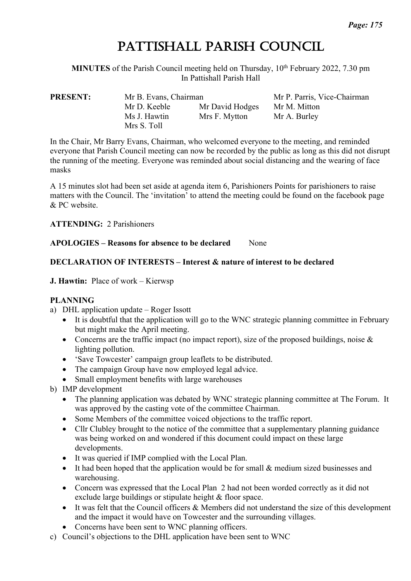# PATTISHALL PARISH COUNCIL

**MINUTES** of the Parish Council meeting held on Thursday, 10<sup>th</sup> February 2022, 7.30 pm In Pattishall Parish Hall

**PRESENT:** Mr B. Evans, Chairman Mr P. Parris, Vice-Chairman Mr D. Keeble Mr David Hodges Mr M. Mitton Ms J. Hawtin Mrs F. Mytton Mr A. Burley Mrs S. Toll

In the Chair, Mr Barry Evans, Chairman, who welcomed everyone to the meeting, and reminded everyone that Parish Council meeting can now be recorded by the public as long as this did not disrupt the running of the meeting. Everyone was reminded about social distancing and the wearing of face masks

A 15 minutes slot had been set aside at agenda item 6, Parishioners Points for parishioners to raise matters with the Council. The 'invitation' to attend the meeting could be found on the facebook page & PC website.

**ATTENDING:** 2 Parishioners

**APOLOGIES – Reasons for absence to be declared** None

## **DECLARATION OF INTERESTS – Interest & nature of interest to be declared**

#### **J. Hawtin:** Place of work – Kierwsp

# **PLANNING**

- a) DHL application update Roger Issott
	- It is doubtful that the application will go to the WNC strategic planning committee in February but might make the April meeting.
	- Concerns are the traffic impact (no impact report), size of the proposed buildings, noise  $\&$ lighting pollution.
	- 'Save Towcester' campaign group leaflets to be distributed.
	- The campaign Group have now employed legal advice.
	- Small employment benefits with large warehouses
- b) IMP development
	- The planning application was debated by WNC strategic planning committee at The Forum. It was approved by the casting vote of the committee Chairman.
	- Some Members of the committee voiced objections to the traffic report.
	- Cllr Clubley brought to the notice of the committee that a supplementary planning guidance was being worked on and wondered if this document could impact on these large developments.
	- It was queried if IMP complied with the Local Plan.
	- It had been hoped that the application would be for small & medium sized businesses and warehousing.
	- Concern was expressed that the Local Plan 2 had not been worded correctly as it did not exclude large buildings or stipulate height & floor space.
	- It was felt that the Council officers & Members did not understand the size of this development and the impact it would have on Towcester and the surrounding villages.
	- Concerns have been sent to WNC planning officers.
- c) Council's objections to the DHL application have been sent to WNC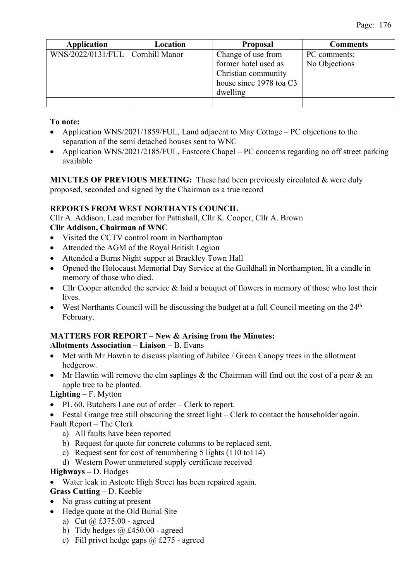| <b>Application</b>                 | Location | <b>Proposal</b>         | <b>Comments</b> |
|------------------------------------|----------|-------------------------|-----------------|
| WNS/2022/0131/FUL   Cornhill Manor |          | Change of use from      | PC comments:    |
|                                    |          | former hotel used as    | No Objections   |
|                                    |          | Christian community     |                 |
|                                    |          | house since 1978 toa C3 |                 |
|                                    |          | dwelling                |                 |
|                                    |          |                         |                 |

**To note:**

- Application WNS/2021/1859/FUL, Land adjacent to May Cottage PC objections to the separation of the semi detached houses sent to WNC
- Application WNS/2021/2185/FUL, Eastcote Chapel PC concerns regarding no off street parking available

**MINUTES OF PREVIOUS MEETING:** These had been previously circulated & were duly proposed, seconded and signed by the Chairman as a true record

## **REPORTS FROM WEST NORTHANTS COUNCIL**

Cllr A. Addison, Lead member for Pattishall, Cllr K. Cooper, Cllr A. Brown **Cllr Addison, Chairman of WNC**

- Visited the CCTV control room in Northampton
- Attended the AGM of the Royal British Legion
- Attended a Burns Night supper at Brackley Town Hall
- Opened the Holocaust Memorial Day Service at the Guildhall in Northampton, lit a candle in memory of those who died.
- Cllr Cooper attended the service & laid a bouquet of flowers in memory of those who lost their lives.
- West Northants Council will be discussing the budget at a full Council meeting on the  $24<sup>th</sup>$ February.

#### **MATTERS FOR REPORT – New & Arising from the Minutes: Allotments Association – Liaison –** B. Evans

- Met with Mr Hawtin to discuss planting of Jubilee / Green Canopy trees in the allotment hedgerow.
- Mr Hawtin will remove the elm saplings & the Chairman will find out the cost of a pear  $\&$  an apple tree to be planted.

**Lighting –** F. Mytton

- PL 60, Butchers Lane out of order Clerk to report.
- Festal Grange tree still obscuring the street light Clerk to contact the householder again. Fault Report – The Clerk
	- a) All faults have been reported
	- b) Request for quote for concrete columns to be replaced sent.
	- c) Request sent for cost of renumbering 5 lights (110 to114)
	- d) Western Power unmetered supply certificate received

#### **Highways –** D. Hodges

Water leak in Astcote High Street has been repaired again.

# **Grass Cutting –** D. Keeble

- No grass cutting at present
- Hedge quote at the Old Burial Site
	- a) Cut  $(a)$  £375.00 agreed
	- b) Tidy hedges  $\omega$  £450.00 agreed
	- c) Fill privet hedge gaps  $(a)$  £275 agreed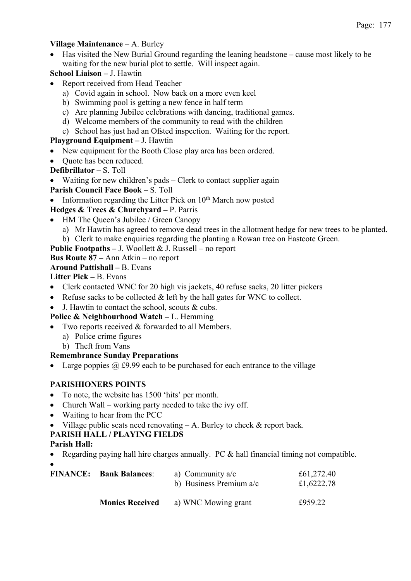#### **Village Maintenance** – A. Burley

- Has visited the New Burial Ground regarding the leaning headstone cause most likely to be waiting for the new burial plot to settle. Will inspect again.
- **School Liaison –** J. Hawtin
- Report received from Head Teacher
	- a) Covid again in school. Now back on a more even keel
	- b) Swimming pool is getting a new fence in half term
	- c) Are planning Jubilee celebrations with dancing, traditional games.
	- d) Welcome members of the community to read with the children
	- e) School has just had an Ofsted inspection. Waiting for the report.

## **Playground Equipment –** J. Hawtin

- New equipment for the Booth Close play area has been ordered.
- Ouote has been reduced.
- **Defibrillator –** S. Toll
- Waiting for new children's pads Clerk to contact supplier again
- **Parish Council Face Book –** S. Toll
- Information regarding the Litter Pick on  $10<sup>th</sup>$  March now posted

# **Hedges & Trees & Churchyard –** P. Parris

- HM The Queen's Jubilee / Green Canopy
	- a) Mr Hawtin has agreed to remove dead trees in the allotment hedge for new trees to be planted.
	- b) Clerk to make enquiries regarding the planting a Rowan tree on Eastcote Green.
- **Public Footpaths –** J. Woollett & J. Russell no report

## **Bus Route 87 –** Ann Atkin – no report

#### **Around Pattishall –** B. Evans

**Litter Pick –** B. Evans

- Clerk contacted WNC for 20 high vis jackets, 40 refuse sacks, 20 litter pickers
- Refuse sacks to be collected  $&$  left by the hall gates for WNC to collect.
- J. Hawtin to contact the school, scouts & cubs.

# **Police & Neighbourhood Watch –** L. Hemming

- Two reports received & forwarded to all Members.
	- a) Police crime figures
	- b) Theft from Vans

# **Remembrance Sunday Preparations**

• Large poppies  $\omega$  £9.99 each to be purchased for each entrance to the village

# **PARISHIONERS POINTS**

- To note, the website has 1500 'hits' per month.
- Church Wall working party needed to take the ivy off.
- Waiting to hear from the PCC
- Village public seats need renovating  $A$ . Burley to check  $\&$  report back.

# **PARISH HALL / PLAYING FIELDS**

#### **Parish Hall:**

• Regarding paying hall hire charges annually. PC & hall financial timing not compatible. •

| <b>FINANCE:</b> | <b>Bank Balances:</b>  | a) Community $a/c$<br>b) Business Premium $a/c$ | £61,272.40<br>£1,6222.78 |
|-----------------|------------------------|-------------------------------------------------|--------------------------|
|                 | <b>Monies Received</b> | a) WNC Mowing grant                             | £959.22                  |